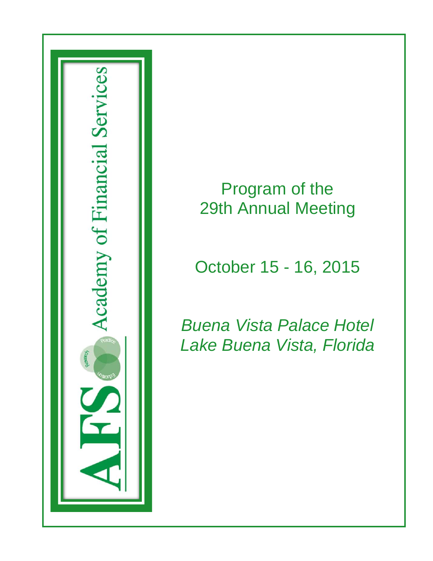

# Program of the 29th Annual Meeting

# October 15 - 16, 2015

*Buena Vista Palace Hotel Lake Buena Vista, Florida*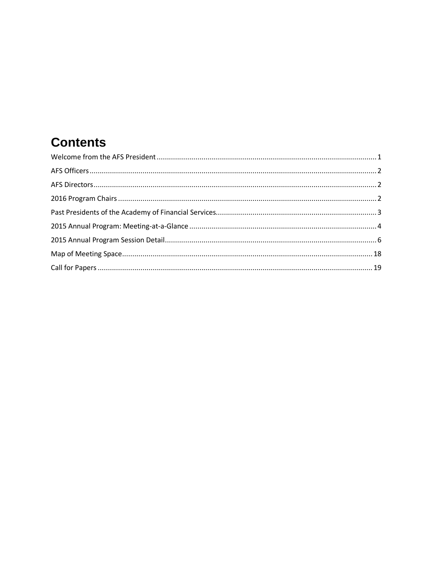# **Contents**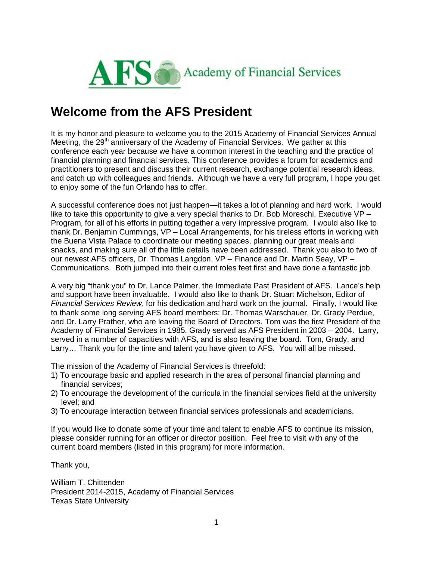

#### <span id="page-2-0"></span>**Welcome from the AFS President**

It is my honor and pleasure to welcome you to the 2015 Academy of Financial Services Annual Meeting, the  $29<sup>th</sup>$  anniversary of the Academy of Financial Services. We gather at this conference each year because we have a common interest in the teaching and the practice of financial planning and financial services. This conference provides a forum for academics and practitioners to present and discuss their current research, exchange potential research ideas, and catch up with colleagues and friends. Although we have a very full program, I hope you get to enjoy some of the fun Orlando has to offer.

A successful conference does not just happen—it takes a lot of planning and hard work. I would like to take this opportunity to give a very special thanks to Dr. Bob Moreschi, Executive VP – Program, for all of his efforts in putting together a very impressive program. I would also like to thank Dr. Benjamin Cummings, VP – Local Arrangements, for his tireless efforts in working with the Buena Vista Palace to coordinate our meeting spaces, planning our great meals and snacks, and making sure all of the little details have been addressed. Thank you also to two of our newest AFS officers, Dr. Thomas Langdon, VP – Finance and Dr. Martin Seay, VP – Communications. Both jumped into their current roles feet first and have done a fantastic job.

A very big "thank you" to Dr. Lance Palmer, the Immediate Past President of AFS. Lance's help and support have been invaluable. I would also like to thank Dr. Stuart Michelson, Editor of *Financial Services Review*, for his dedication and hard work on the journal. Finally, I would like to thank some long serving AFS board members: Dr. Thomas Warschauer, Dr. Grady Perdue, and Dr. Larry Prather, who are leaving the Board of Directors. Tom was the first President of the Academy of Financial Services in 1985. Grady served as AFS President in 2003 – 2004. Larry, served in a number of capacities with AFS, and is also leaving the board. Tom, Grady, and Larry… Thank you for the time and talent you have given to AFS. You will all be missed.

The mission of the Academy of Financial Services is threefold:

- 1) To encourage basic and applied research in the area of personal financial planning and financial services;
- 2) To encourage the development of the curricula in the financial services field at the university level; and
- 3) To encourage interaction between financial services professionals and academicians.

If you would like to donate some of your time and talent to enable AFS to continue its mission, please consider running for an officer or director position. Feel free to visit with any of the current board members (listed in this program) for more information.

Thank you,

William T. Chittenden President 2014-2015, Academy of Financial Services Texas State University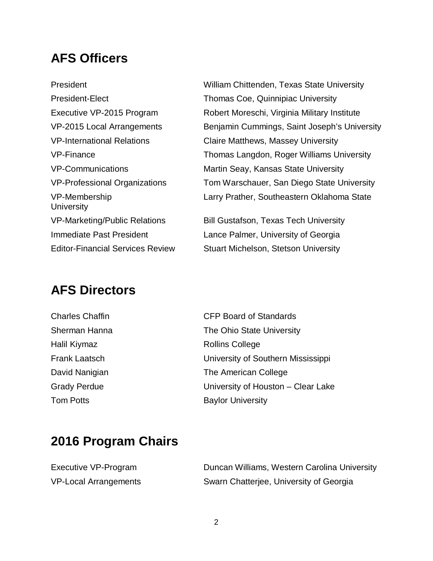## <span id="page-3-0"></span>**AFS Officers**

President William Chittenden, Texas State University President-Elect Thomas Coe, Quinnipiac University Executive VP-2015 Program Robert Moreschi, Virginia Military Institute VP-2015 Local Arrangements Benjamin Cummings, Saint Joseph's University VP-International Relations Claire Matthews, Massey University VP-Finance Thomas Langdon, Roger Williams University VP-Communications Martin Seay, Kansas State University VP-Professional Organizations Tom Warschauer, San Diego State University VP-Membership Larry Prather, Southeastern Oklahoma State **University** VP-Marketing/Public Relations Bill Gustafson, Texas Tech University Immediate Past President Lance Palmer, University of Georgia Editor-Financial Services Review Stuart Michelson, Stetson University

### <span id="page-3-1"></span>**AFS Directors**

| <b>Charles Chaffin</b> | <b>CFP Board of Standards</b>      |
|------------------------|------------------------------------|
| Sherman Hanna          | The Ohio State University          |
| Halil Kiymaz           | <b>Rollins College</b>             |
| <b>Frank Laatsch</b>   | University of Southern Mississippi |
| David Nanigian         | The American College               |
| <b>Grady Perdue</b>    | University of Houston – Clear Lake |
| <b>Tom Potts</b>       | <b>Baylor University</b>           |

## <span id="page-3-2"></span>**2016 Program Chairs**

| Executive VP-Program         |
|------------------------------|
| <b>VP-Local Arrangements</b> |

Duncan Williams, Western Carolina University Swarn Chatterjee, University of Georgia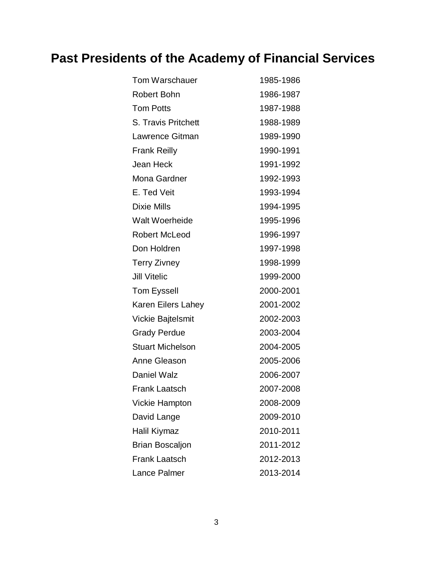# <span id="page-4-0"></span>**Past Presidents of the Academy of Financial Services**

| Tom Warschauer             | 1985-1986 |
|----------------------------|-----------|
| Robert Bohn                | 1986-1987 |
| <b>Tom Potts</b>           | 1987-1988 |
| <b>S. Travis Pritchett</b> | 1988-1989 |
| Lawrence Gitman            | 1989-1990 |
| <b>Frank Reilly</b>        | 1990-1991 |
| Jean Heck                  | 1991-1992 |
| Mona Gardner               | 1992-1993 |
| E. Ted Veit                | 1993-1994 |
| <b>Dixie Mills</b>         | 1994-1995 |
| <b>Walt Woerheide</b>      | 1995-1996 |
| <b>Robert McLeod</b>       | 1996-1997 |
| Don Holdren                | 1997-1998 |
| <b>Terry Zivney</b>        | 1998-1999 |
| <b>Jill Vitelic</b>        | 1999-2000 |
| <b>Tom Eyssell</b>         | 2000-2001 |
| Karen Eilers Lahey         | 2001-2002 |
| <b>Vickie Bajtelsmit</b>   | 2002-2003 |
| <b>Grady Perdue</b>        | 2003-2004 |
| <b>Stuart Michelson</b>    | 2004-2005 |
| Anne Gleason               | 2005-2006 |
| <b>Daniel Walz</b>         | 2006-2007 |
| Frank Laatsch              | 2007-2008 |
| <b>Vickie Hampton</b>      | 2008-2009 |
| David Lange                | 2009-2010 |
| Halil Kiymaz               | 2010-2011 |
| <b>Brian Boscaljon</b>     | 2011-2012 |
| <b>Frank Laatsch</b>       | 2012-2013 |
| <b>Lance Palmer</b>        | 2013-2014 |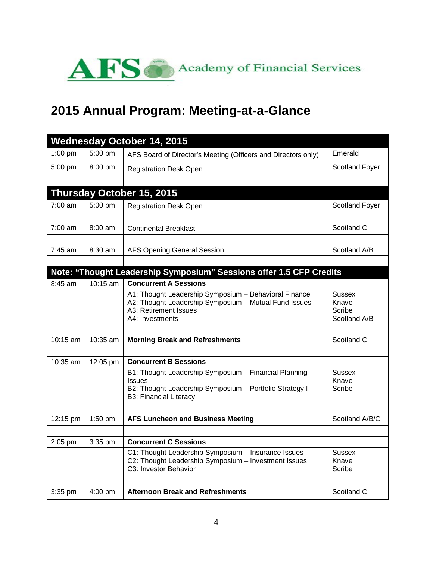

# <span id="page-5-0"></span>**2015 Annual Program: Meeting-at-a-Glance**

|                   |           | <b>Wednesday October 14, 2015</b>                                                                                                                                  |                                                  |
|-------------------|-----------|--------------------------------------------------------------------------------------------------------------------------------------------------------------------|--------------------------------------------------|
| 1:00 pm           | 5:00 pm   | AFS Board of Director's Meeting (Officers and Directors only)                                                                                                      | Emerald                                          |
| 5:00 pm           | 8:00 pm   | <b>Registration Desk Open</b>                                                                                                                                      | <b>Scotland Foyer</b>                            |
|                   |           |                                                                                                                                                                    |                                                  |
|                   |           | Thursday October 15, 2015                                                                                                                                          |                                                  |
| $7:00 \text{ am}$ | 5:00 pm   | <b>Registration Desk Open</b>                                                                                                                                      | <b>Scotland Foyer</b>                            |
|                   |           |                                                                                                                                                                    |                                                  |
| $7:00 \text{ am}$ | 8:00 am   | <b>Continental Breakfast</b>                                                                                                                                       | Scotland C                                       |
| $7:45$ am         | $8:30$ am | <b>AFS Opening General Session</b>                                                                                                                                 | Scotland A/B                                     |
|                   |           |                                                                                                                                                                    |                                                  |
|                   |           | Note: "Thought Leadership Symposium" Sessions offer 1.5 CFP Credits                                                                                                |                                                  |
| $8:45$ am         | 10:15 am  | <b>Concurrent A Sessions</b>                                                                                                                                       |                                                  |
|                   |           | A1: Thought Leadership Symposium - Behavioral Finance<br>A2: Thought Leadership Symposium - Mutual Fund Issues<br>A3: Retirement Issues<br>A4: Investments         | <b>Sussex</b><br>Knave<br>Scribe<br>Scotland A/B |
|                   |           |                                                                                                                                                                    |                                                  |
| 10:15 am          | 10:35 am  | <b>Morning Break and Refreshments</b>                                                                                                                              | Scotland C                                       |
|                   |           |                                                                                                                                                                    |                                                  |
| 10:35 am          | 12:05 pm  | <b>Concurrent B Sessions</b>                                                                                                                                       |                                                  |
|                   |           | B1: Thought Leadership Symposium - Financial Planning<br><b>Issues</b><br>B2: Thought Leadership Symposium - Portfolio Strategy I<br><b>B3: Financial Literacy</b> | Sussex<br>Knave<br>Scribe                        |
|                   |           |                                                                                                                                                                    |                                                  |
| 12:15 pm          | $1:50$ pm | <b>AFS Luncheon and Business Meeting</b>                                                                                                                           | Scotland A/B/C                                   |
| 2:05 pm           | 3:35 pm   | <b>Concurrent C Sessions</b>                                                                                                                                       |                                                  |
|                   |           | C1: Thought Leadership Symposium - Insurance Issues<br>C2: Thought Leadership Symposium - Investment Issues<br>C3: Investor Behavior                               | <b>Sussex</b><br>Knave<br>Scribe                 |
| 3:35 pm           | 4:00 pm   | <b>Afternoon Break and Refreshments</b>                                                                                                                            | Scotland C                                       |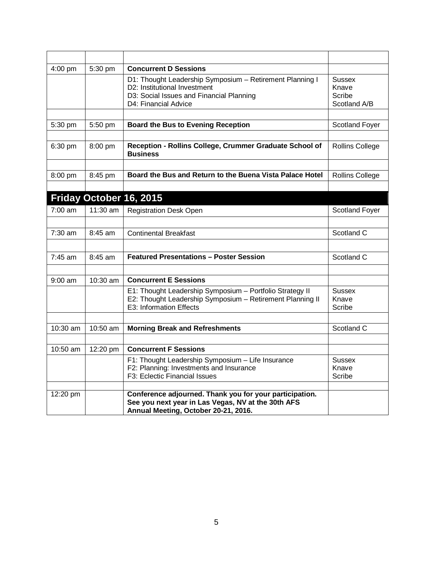| 4:00 pm           | 5:30 pm    | <b>Concurrent D Sessions</b>                                                                                                                                 |                                                  |
|-------------------|------------|--------------------------------------------------------------------------------------------------------------------------------------------------------------|--------------------------------------------------|
|                   |            | D1: Thought Leadership Symposium - Retirement Planning I<br>D2: Institutional Investment<br>D3: Social Issues and Financial Planning<br>D4: Financial Advice | <b>Sussex</b><br>Knave<br>Scribe<br>Scotland A/B |
|                   |            |                                                                                                                                                              |                                                  |
| 5:30 pm           | 5:50 pm    | <b>Board the Bus to Evening Reception</b>                                                                                                                    | <b>Scotland Foyer</b>                            |
| 6:30 pm           | 8:00 pm    | Reception - Rollins College, Crummer Graduate School of<br><b>Business</b>                                                                                   | Rollins College                                  |
|                   |            |                                                                                                                                                              |                                                  |
| 8:00 pm           | 8:45 pm    | Board the Bus and Return to the Buena Vista Palace Hotel                                                                                                     | Rollins College                                  |
|                   |            |                                                                                                                                                              |                                                  |
|                   |            | Friday October 16, 2015                                                                                                                                      |                                                  |
| $7:00$ am         | 11:30 am   | <b>Registration Desk Open</b>                                                                                                                                | <b>Scotland Foyer</b>                            |
|                   |            |                                                                                                                                                              |                                                  |
| 7:30 am           | 8:45 am    | <b>Continental Breakfast</b>                                                                                                                                 | Scotland C                                       |
|                   |            |                                                                                                                                                              |                                                  |
| 7:45 am           | 8:45 am    | <b>Featured Presentations - Poster Session</b>                                                                                                               | Scotland C                                       |
|                   |            |                                                                                                                                                              |                                                  |
| $9:00 \text{ am}$ | $10:30$ am | <b>Concurrent E Sessions</b>                                                                                                                                 |                                                  |
|                   |            | E1: Thought Leadership Symposium - Portfolio Strategy II<br>E2: Thought Leadership Symposium - Retirement Planning II<br>E3: Information Effects             | <b>Sussex</b><br>Knave<br>Scribe                 |
|                   |            |                                                                                                                                                              |                                                  |
| 10:30 am          | 10:50 am   | <b>Morning Break and Refreshments</b>                                                                                                                        | Scotland C                                       |
|                   |            |                                                                                                                                                              |                                                  |
| 10:50 am          | 12:20 pm   | <b>Concurrent F Sessions</b>                                                                                                                                 |                                                  |
|                   |            | F1: Thought Leadership Symposium - Life Insurance<br>F2: Planning: Investments and Insurance                                                                 | <b>Sussex</b><br>Knave                           |
|                   |            | F3: Eclectic Financial Issues                                                                                                                                | Scribe                                           |
|                   |            |                                                                                                                                                              |                                                  |
| 12:20 pm          |            | Conference adjourned. Thank you for your participation.<br>See you next year in Las Vegas, NV at the 30th AFS<br>Annual Meeting, October 20-21, 2016.        |                                                  |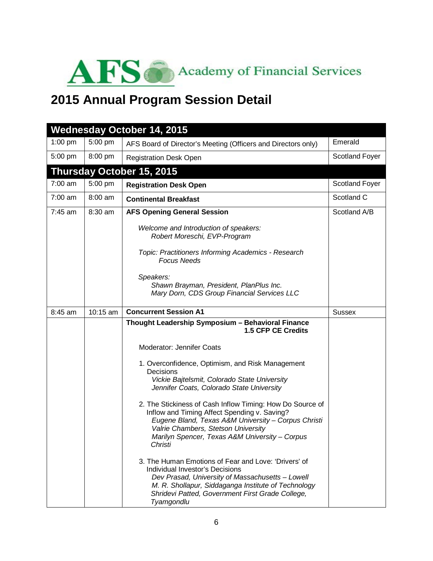<span id="page-7-0"></span>

# **2015 Annual Program Session Detail**

|           |           | <b>Wednesday October 14, 2015</b>                                                                                                                                                                                                                                    |                       |
|-----------|-----------|----------------------------------------------------------------------------------------------------------------------------------------------------------------------------------------------------------------------------------------------------------------------|-----------------------|
| $1:00$ pm | 5:00 pm   | AFS Board of Director's Meeting (Officers and Directors only)                                                                                                                                                                                                        | Emerald               |
| 5:00 pm   | 8:00 pm   | <b>Registration Desk Open</b>                                                                                                                                                                                                                                        | <b>Scotland Foyer</b> |
|           |           | Thursday October 15, 2015                                                                                                                                                                                                                                            |                       |
| 7:00 am   | 5:00 pm   | <b>Registration Desk Open</b>                                                                                                                                                                                                                                        | <b>Scotland Foyer</b> |
| $7:00$ am | $8:00$ am | <b>Continental Breakfast</b>                                                                                                                                                                                                                                         | Scotland C            |
| 7:45 am   | $8:30$ am | <b>AFS Opening General Session</b>                                                                                                                                                                                                                                   | Scotland A/B          |
|           |           | Welcome and Introduction of speakers:<br>Robert Moreschi, EVP-Program                                                                                                                                                                                                |                       |
|           |           | Topic: Practitioners Informing Academics - Research<br><b>Focus Needs</b>                                                                                                                                                                                            |                       |
|           |           | Speakers:<br>Shawn Brayman, President, PlanPlus Inc.<br>Mary Dorn, CDS Group Financial Services LLC                                                                                                                                                                  |                       |
| 8:45 am   | 10:15 am  | <b>Concurrent Session A1</b>                                                                                                                                                                                                                                         | <b>Sussex</b>         |
|           |           | Thought Leadership Symposium - Behavioral Finance<br>1.5 CFP CE Credits                                                                                                                                                                                              |                       |
|           |           | Moderator: Jennifer Coats                                                                                                                                                                                                                                            |                       |
|           |           | 1. Overconfidence, Optimism, and Risk Management<br>Decisions<br>Vickie Bajtelsmit, Colorado State University<br>Jennifer Coats, Colorado State University                                                                                                           |                       |
|           |           | 2. The Stickiness of Cash Inflow Timing: How Do Source of<br>Inflow and Timing Affect Spending v. Saving?<br>Eugene Bland, Texas A&M University - Corpus Christi<br>Valrie Chambers, Stetson University<br>Marilyn Spencer, Texas A&M University - Corpus<br>Christi |                       |
|           |           | 3. The Human Emotions of Fear and Love: 'Drivers' of<br>Individual Investor's Decisions<br>Dev Prasad, University of Massachusetts - Lowell<br>M. R. Shollapur, Siddaganga Institute of Technology<br>Shridevi Patted, Government First Grade College,<br>Tyamgondlu |                       |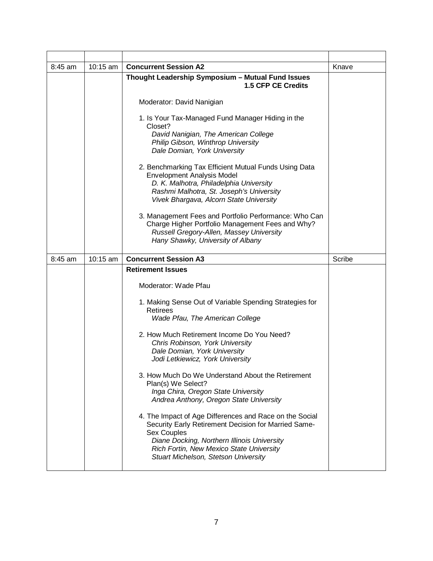| 8:45 am   | 10:15 am | <b>Concurrent Session A2</b>                                                                                                                                                                                                                                                                                                                                                                                                                                                                                                                                                                                                                                                                                                                             | Knave  |
|-----------|----------|----------------------------------------------------------------------------------------------------------------------------------------------------------------------------------------------------------------------------------------------------------------------------------------------------------------------------------------------------------------------------------------------------------------------------------------------------------------------------------------------------------------------------------------------------------------------------------------------------------------------------------------------------------------------------------------------------------------------------------------------------------|--------|
|           |          | Thought Leadership Symposium - Mutual Fund Issues<br>1.5 CFP CE Credits                                                                                                                                                                                                                                                                                                                                                                                                                                                                                                                                                                                                                                                                                  |        |
|           |          | Moderator: David Nanigian                                                                                                                                                                                                                                                                                                                                                                                                                                                                                                                                                                                                                                                                                                                                |        |
|           |          | 1. Is Your Tax-Managed Fund Manager Hiding in the<br>Closet?<br>David Nanigian, The American College<br>Philip Gibson, Winthrop University<br>Dale Domian, York University                                                                                                                                                                                                                                                                                                                                                                                                                                                                                                                                                                               |        |
|           |          | 2. Benchmarking Tax Efficient Mutual Funds Using Data<br><b>Envelopment Analysis Model</b><br>D. K. Malhotra, Philadelphia University<br>Rashmi Malhotra, St. Joseph's University<br>Vivek Bhargava, Alcorn State University                                                                                                                                                                                                                                                                                                                                                                                                                                                                                                                             |        |
|           |          | 3. Management Fees and Portfolio Performance: Who Can<br>Charge Higher Portfolio Management Fees and Why?<br>Russell Gregory-Allen, Massey University<br>Hany Shawky, University of Albany                                                                                                                                                                                                                                                                                                                                                                                                                                                                                                                                                               |        |
| $8:45$ am | 10:15 am | <b>Concurrent Session A3</b>                                                                                                                                                                                                                                                                                                                                                                                                                                                                                                                                                                                                                                                                                                                             | Scribe |
|           |          | <b>Retirement Issues</b><br>Moderator: Wade Pfau<br>1. Making Sense Out of Variable Spending Strategies for<br>Retirees<br>Wade Pfau, The American College<br>2. How Much Retirement Income Do You Need?<br>Chris Robinson, York University<br>Dale Domian, York University<br>Jodi Letkiewicz, York University<br>3. How Much Do We Understand About the Retirement<br>Plan(s) We Select?<br>Inga Chira, Oregon State University<br>Andrea Anthony, Oregon State University<br>4. The Impact of Age Differences and Race on the Social<br>Security Early Retirement Decision for Married Same-<br><b>Sex Couples</b><br>Diane Docking, Northern Illinois University<br>Rich Fortin, New Mexico State University<br>Stuart Michelson, Stetson University |        |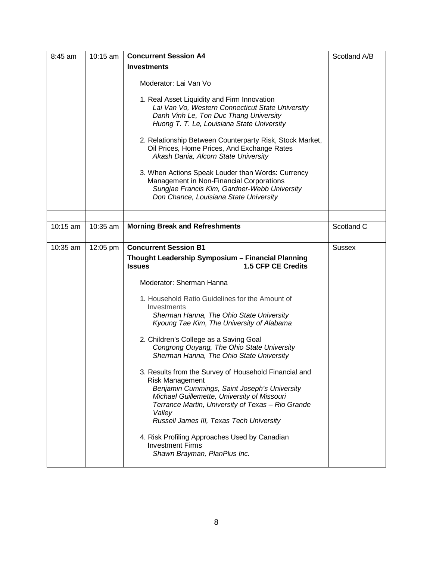| 8:45 am  | 10:15 am | <b>Concurrent Session A4</b>                                                                                                                                                                                                                                                              | Scotland A/B  |
|----------|----------|-------------------------------------------------------------------------------------------------------------------------------------------------------------------------------------------------------------------------------------------------------------------------------------------|---------------|
|          |          | <b>Investments</b>                                                                                                                                                                                                                                                                        |               |
|          |          | Moderator: Lai Van Vo                                                                                                                                                                                                                                                                     |               |
|          |          | 1. Real Asset Liquidity and Firm Innovation<br>Lai Van Vo, Western Connecticut State University<br>Danh Vinh Le, Ton Duc Thang University<br>Huong T. T. Le, Louisiana State University                                                                                                   |               |
|          |          | 2. Relationship Between Counterparty Risk, Stock Market,<br>Oil Prices, Home Prices, And Exchange Rates<br>Akash Dania, Alcorn State University                                                                                                                                           |               |
|          |          | 3. When Actions Speak Louder than Words: Currency<br>Management in Non-Financial Corporations<br>Sungjae Francis Kim, Gardner-Webb University<br>Don Chance, Louisiana State University                                                                                                   |               |
|          |          |                                                                                                                                                                                                                                                                                           |               |
| 10:15 am | 10:35 am | <b>Morning Break and Refreshments</b>                                                                                                                                                                                                                                                     | Scotland C    |
|          |          |                                                                                                                                                                                                                                                                                           |               |
| 10:35 am | 12:05 pm | <b>Concurrent Session B1</b>                                                                                                                                                                                                                                                              | <b>Sussex</b> |
|          |          | Thought Leadership Symposium - Financial Planning<br>1.5 CFP CE Credits<br><b>Issues</b>                                                                                                                                                                                                  |               |
|          |          | Moderator: Sherman Hanna                                                                                                                                                                                                                                                                  |               |
|          |          | 1. Household Ratio Guidelines for the Amount of<br>Investments<br>Sherman Hanna, The Ohio State University<br>Kyoung Tae Kim, The University of Alabama                                                                                                                                   |               |
|          |          |                                                                                                                                                                                                                                                                                           |               |
|          |          | 2. Children's College as a Saving Goal<br>Congrong Ouyang, The Ohio State University<br>Sherman Hanna, The Ohio State University                                                                                                                                                          |               |
|          |          | 3. Results from the Survey of Household Financial and<br><b>Risk Management</b><br>Benjamin Cummings, Saint Joseph's University<br>Michael Guillemette, University of Missouri<br>Terrance Martin, University of Texas - Rio Grande<br>Valley<br>Russell James III, Texas Tech University |               |
|          |          | 4. Risk Profiling Approaches Used by Canadian<br><b>Investment Firms</b><br>Shawn Brayman, PlanPlus Inc.                                                                                                                                                                                  |               |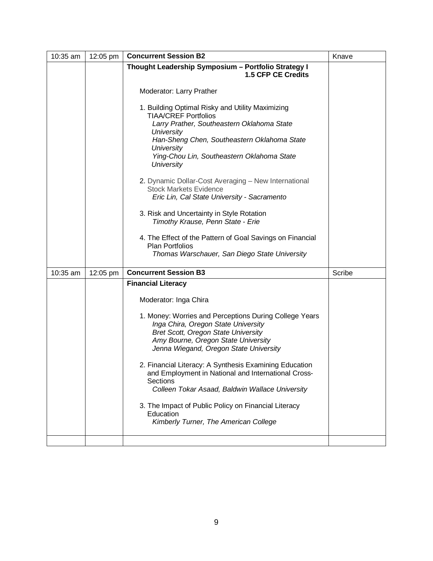| 10:35 am | 12:05 pm | <b>Concurrent Session B2</b>                                                                                                                                                                                                 | Knave  |
|----------|----------|------------------------------------------------------------------------------------------------------------------------------------------------------------------------------------------------------------------------------|--------|
|          |          | Thought Leadership Symposium - Portfolio Strategy I<br>1.5 CFP CE Credits                                                                                                                                                    |        |
|          |          | Moderator: Larry Prather                                                                                                                                                                                                     |        |
|          |          | 1. Building Optimal Risky and Utility Maximizing<br><b>TIAA/CREF Portfolios</b>                                                                                                                                              |        |
|          |          | Larry Prather, Southeastern Oklahoma State<br><b>University</b>                                                                                                                                                              |        |
|          |          | Han-Sheng Chen, Southeastern Oklahoma State<br>University                                                                                                                                                                    |        |
|          |          | Ying-Chou Lin, Southeastern Oklahoma State<br><b>University</b>                                                                                                                                                              |        |
|          |          | 2. Dynamic Dollar-Cost Averaging - New International<br><b>Stock Markets Evidence</b>                                                                                                                                        |        |
|          |          | Eric Lin, Cal State University - Sacramento                                                                                                                                                                                  |        |
|          |          | 3. Risk and Uncertainty in Style Rotation<br>Timothy Krause, Penn State - Erie                                                                                                                                               |        |
|          |          | 4. The Effect of the Pattern of Goal Savings on Financial<br><b>Plan Portfolios</b>                                                                                                                                          |        |
|          |          | Thomas Warschauer, San Diego State University                                                                                                                                                                                |        |
| 10:35 am | 12:05 pm | <b>Concurrent Session B3</b>                                                                                                                                                                                                 | Scribe |
|          |          | <b>Financial Literacy</b>                                                                                                                                                                                                    |        |
|          |          | Moderator: Inga Chira                                                                                                                                                                                                        |        |
|          |          | 1. Money: Worries and Perceptions During College Years<br>Inga Chira, Oregon State University<br><b>Bret Scott, Oregon State University</b><br>Amy Bourne, Oregon State University<br>Jenna Wiegand, Oregon State University |        |
|          |          | 2. Financial Literacy: A Synthesis Examining Education<br>and Employment in National and International Cross-<br><b>Sections</b><br>Colleen Tokar Asaad, Baldwin Wallace University                                          |        |
|          |          | 3. The Impact of Public Policy on Financial Literacy<br>Education<br>Kimberly Turner, The American College                                                                                                                   |        |
|          |          |                                                                                                                                                                                                                              |        |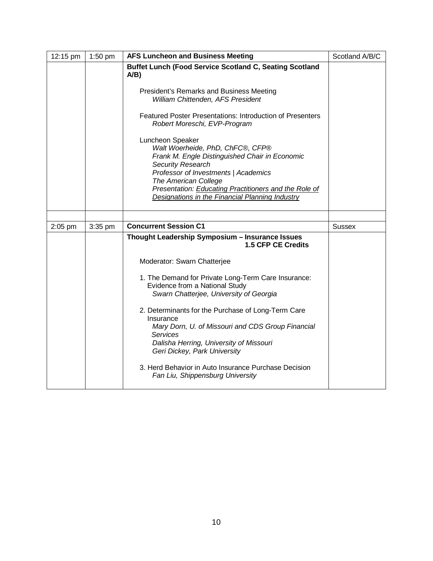| 12:15 pm  | 1:50 pm   | <b>AFS Luncheon and Business Meeting</b>                                                                                                                                                                                                                                                                       | Scotland A/B/C |
|-----------|-----------|----------------------------------------------------------------------------------------------------------------------------------------------------------------------------------------------------------------------------------------------------------------------------------------------------------------|----------------|
|           |           | Buffet Lunch (Food Service Scotland C, Seating Scotland<br>$A/B$ )                                                                                                                                                                                                                                             |                |
|           |           | President's Remarks and Business Meeting<br>William Chittenden, AFS President                                                                                                                                                                                                                                  |                |
|           |           | <b>Featured Poster Presentations: Introduction of Presenters</b><br>Robert Moreschi, EVP-Program                                                                                                                                                                                                               |                |
|           |           | Luncheon Speaker<br>Walt Woerheide, PhD, ChFC®, CFP®<br>Frank M. Engle Distinguished Chair in Economic<br><b>Security Research</b><br>Professor of Investments   Academics<br>The American College<br>Presentation: Educating Practitioners and the Role of<br>Designations in the Financial Planning Industry |                |
|           |           | <b>Concurrent Session C1</b>                                                                                                                                                                                                                                                                                   |                |
| $2:05$ pm | $3:35$ pm |                                                                                                                                                                                                                                                                                                                | <b>Sussex</b>  |
|           |           | Thought Leadership Symposium - Insurance Issues<br><b>1.5 CFP CE Credits</b>                                                                                                                                                                                                                                   |                |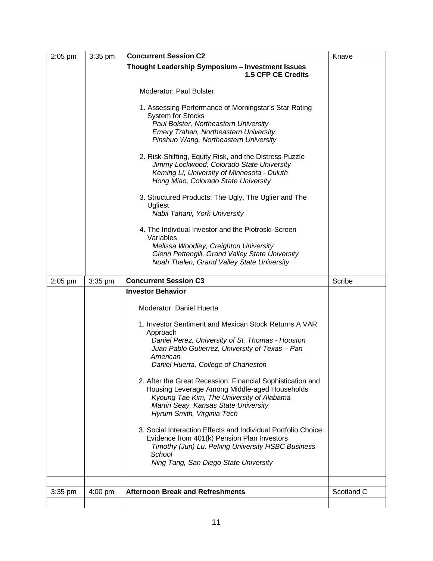| $2:05$ pm | 3:35 pm   | <b>Concurrent Session C2</b>                                                                                                                                                                                                   | Knave      |
|-----------|-----------|--------------------------------------------------------------------------------------------------------------------------------------------------------------------------------------------------------------------------------|------------|
|           |           | Thought Leadership Symposium - Investment Issues<br><b>1.5 CFP CE Credits</b>                                                                                                                                                  |            |
|           |           | <b>Moderator: Paul Bolster</b>                                                                                                                                                                                                 |            |
|           |           | 1. Assessing Performance of Morningstar's Star Rating<br><b>System for Stocks</b><br>Paul Bolster, Northeastern University<br>Emery Trahan, Northeastern University                                                            |            |
|           |           | Pinshuo Wang, Northeastern University                                                                                                                                                                                          |            |
|           |           | 2. Risk-Shifting, Equity Risk, and the Distress Puzzle<br>Jimmy Lockwood, Colorado State University<br>Keming Li, University of Minnesota - Duluth<br>Hong Miao, Colorado State University                                     |            |
|           |           | 3. Structured Products: The Ugly, The Uglier and The<br>Ugliest<br>Nabil Tahani, York University                                                                                                                               |            |
|           |           | 4. The Indivdual Investor and the Piotroski-Screen<br>Variables                                                                                                                                                                |            |
|           |           | Melissa Woodley, Creighton University<br>Glenn Pettengill, Grand Valley State University<br>Noah Thelen, Grand Valley State University                                                                                         |            |
| $2:05$ pm | $3:35$ pm | <b>Concurrent Session C3</b>                                                                                                                                                                                                   | Scribe     |
|           |           | <b>Investor Behavior</b>                                                                                                                                                                                                       |            |
|           |           | Moderator: Daniel Huerta                                                                                                                                                                                                       |            |
|           |           | 1. Investor Sentiment and Mexican Stock Returns A VAR<br>Approach<br>Daniel Perez, University of St. Thomas - Houston<br>Juan Pablo Gutierrez, University of Texas - Pan<br>American<br>Daniel Huerta, College of Charleston   |            |
|           |           | 2. After the Great Recession: Financial Sophistication and<br>Housing Leverage Among Middle-aged Households<br>Kyoung Tae Kim, The University of Alabama<br>Martin Seay, Kansas State University<br>Hyrum Smith, Virginia Tech |            |
|           |           | 3. Social Interaction Effects and Individual Portfolio Choice:<br>Evidence from 401(k) Pension Plan Investors<br>Timothy (Jun) Lu, Peking University HSBC Business<br>School<br>Ning Tang, San Diego State University          |            |
|           |           |                                                                                                                                                                                                                                |            |
| 3:35 pm   | $4:00$ pm | <b>Afternoon Break and Refreshments</b>                                                                                                                                                                                        | Scotland C |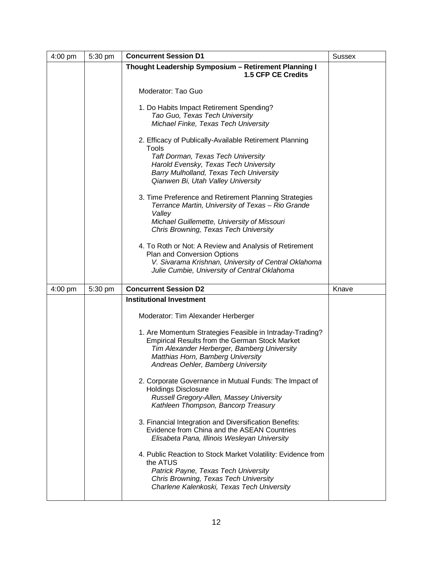| 4:00 pm   | 5:30 pm | <b>Concurrent Session D1</b>                                                                                                                                                                                                                                                                                                                                                                                                                                                                                                                                                                                                                                                                                                                                                                                                                                        | <b>Sussex</b> |
|-----------|---------|---------------------------------------------------------------------------------------------------------------------------------------------------------------------------------------------------------------------------------------------------------------------------------------------------------------------------------------------------------------------------------------------------------------------------------------------------------------------------------------------------------------------------------------------------------------------------------------------------------------------------------------------------------------------------------------------------------------------------------------------------------------------------------------------------------------------------------------------------------------------|---------------|
|           |         | Thought Leadership Symposium - Retirement Planning I<br>1.5 CFP CE Credits                                                                                                                                                                                                                                                                                                                                                                                                                                                                                                                                                                                                                                                                                                                                                                                          |               |
|           |         | Moderator: Tao Guo                                                                                                                                                                                                                                                                                                                                                                                                                                                                                                                                                                                                                                                                                                                                                                                                                                                  |               |
|           |         | 1. Do Habits Impact Retirement Spending?<br>Tao Guo, Texas Tech University<br>Michael Finke, Texas Tech University                                                                                                                                                                                                                                                                                                                                                                                                                                                                                                                                                                                                                                                                                                                                                  |               |
|           |         | 2. Efficacy of Publically-Available Retirement Planning<br>Tools<br><b>Taft Dorman, Texas Tech University</b><br>Harold Evensky, Texas Tech University<br>Barry Mulholland, Texas Tech University<br>Qianwen Bi, Utah Valley University                                                                                                                                                                                                                                                                                                                                                                                                                                                                                                                                                                                                                             |               |
|           |         | 3. Time Preference and Retirement Planning Strategies<br>Terrance Martin, University of Texas - Rio Grande<br>Valley<br>Michael Guillemette, University of Missouri<br>Chris Browning, Texas Tech University                                                                                                                                                                                                                                                                                                                                                                                                                                                                                                                                                                                                                                                        |               |
|           |         | 4. To Roth or Not: A Review and Analysis of Retirement<br>Plan and Conversion Options<br>V. Sivarama Krishnan, University of Central Oklahoma<br>Julie Cumbie, University of Central Oklahoma                                                                                                                                                                                                                                                                                                                                                                                                                                                                                                                                                                                                                                                                       |               |
| $4:00$ pm | 5:30 pm | <b>Concurrent Session D2</b>                                                                                                                                                                                                                                                                                                                                                                                                                                                                                                                                                                                                                                                                                                                                                                                                                                        | Knave         |
|           |         | <b>Institutional Investment</b><br>Moderator: Tim Alexander Herberger<br>1. Are Momentum Strategies Feasible in Intraday-Trading?<br><b>Empirical Results from the German Stock Market</b><br>Tim Alexander Herberger, Bamberg University<br>Matthias Horn, Bamberg University<br>Andreas Oehler, Bamberg University<br>2. Corporate Governance in Mutual Funds: The Impact of<br><b>Holdings Disclosure</b><br>Russell Gregory-Allen, Massey University<br>Kathleen Thompson, Bancorp Treasury<br>3. Financial Integration and Diversification Benefits:<br>Evidence from China and the ASEAN Countries<br>Elisabeta Pana, Illinois Wesleyan University<br>4. Public Reaction to Stock Market Volatility: Evidence from<br>the ATUS<br>Patrick Payne, Texas Tech University<br>Chris Browning, Texas Tech University<br>Charlene Kalenkoski, Texas Tech University |               |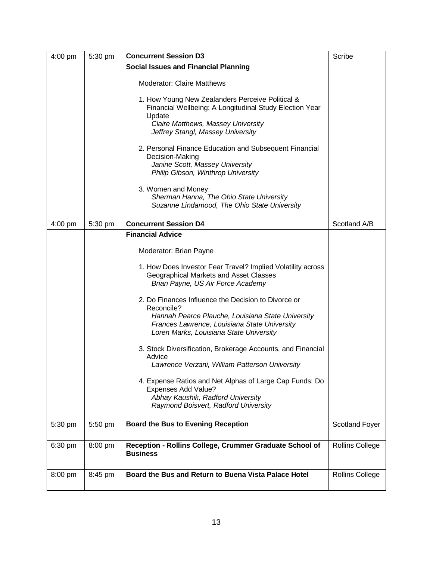| 4:00 pm   | 5:30 pm | <b>Concurrent Session D3</b>                                                                                                                                                                                      | Scribe                 |
|-----------|---------|-------------------------------------------------------------------------------------------------------------------------------------------------------------------------------------------------------------------|------------------------|
|           |         | <b>Social Issues and Financial Planning</b>                                                                                                                                                                       |                        |
|           |         | <b>Moderator: Claire Matthews</b>                                                                                                                                                                                 |                        |
|           |         | 1. How Young New Zealanders Perceive Political &<br>Financial Wellbeing: A Longitudinal Study Election Year<br>Update<br>Claire Matthews, Massey University<br>Jeffrey Stangl, Massey University                  |                        |
|           |         | 2. Personal Finance Education and Subsequent Financial<br>Decision-Making<br>Janine Scott, Massey University<br>Philip Gibson, Winthrop University                                                                |                        |
|           |         | 3. Women and Money:<br>Sherman Hanna, The Ohio State University<br>Suzanne Lindamood, The Ohio State University                                                                                                   |                        |
| $4:00$ pm | 5:30 pm | <b>Concurrent Session D4</b>                                                                                                                                                                                      | Scotland A/B           |
|           |         | <b>Financial Advice</b>                                                                                                                                                                                           |                        |
|           |         | Moderator: Brian Payne                                                                                                                                                                                            |                        |
|           |         | 1. How Does Investor Fear Travel? Implied Volatility across<br>Geographical Markets and Asset Classes<br>Brian Payne, US Air Force Academy                                                                        |                        |
|           |         | 2. Do Finances Influence the Decision to Divorce or<br>Reconcile?<br>Hannah Pearce Plauche, Louisiana State University<br>Frances Lawrence, Louisiana State University<br>Loren Marks, Louisiana State University |                        |
|           |         | 3. Stock Diversification, Brokerage Accounts, and Financial<br>Advice<br>Lawrence Verzani, William Patterson University                                                                                           |                        |
|           |         | 4. Expense Ratios and Net Alphas of Large Cap Funds: Do<br>Expenses Add Value?<br>Abhay Kaushik, Radford University<br>Raymond Boisvert, Radford University                                                       |                        |
| 5:30 pm   | 5:50 pm | <b>Board the Bus to Evening Reception</b>                                                                                                                                                                         | <b>Scotland Foyer</b>  |
|           |         |                                                                                                                                                                                                                   |                        |
| 6:30 pm   | 8:00 pm | Reception - Rollins College, Crummer Graduate School of<br><b>Business</b>                                                                                                                                        | <b>Rollins College</b> |
|           |         |                                                                                                                                                                                                                   |                        |
| 8:00 pm   | 8:45 pm | Board the Bus and Return to Buena Vista Palace Hotel                                                                                                                                                              | <b>Rollins College</b> |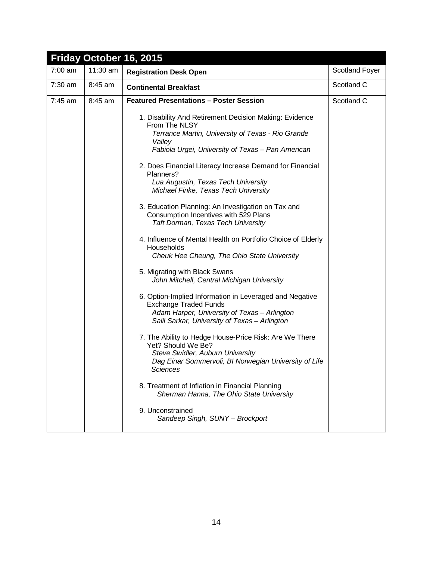|           |          | Friday October 16, 2015                                                                                                                                                                                                                                                                                                                                                                                                                                                                                                                                                                                                                                                                                                                                                                                                                                                                                                                                                                                                                                                                                                                                                                                                                         |                |
|-----------|----------|-------------------------------------------------------------------------------------------------------------------------------------------------------------------------------------------------------------------------------------------------------------------------------------------------------------------------------------------------------------------------------------------------------------------------------------------------------------------------------------------------------------------------------------------------------------------------------------------------------------------------------------------------------------------------------------------------------------------------------------------------------------------------------------------------------------------------------------------------------------------------------------------------------------------------------------------------------------------------------------------------------------------------------------------------------------------------------------------------------------------------------------------------------------------------------------------------------------------------------------------------|----------------|
| $7:00$ am | 11:30 am | <b>Registration Desk Open</b>                                                                                                                                                                                                                                                                                                                                                                                                                                                                                                                                                                                                                                                                                                                                                                                                                                                                                                                                                                                                                                                                                                                                                                                                                   | Scotland Foyer |
| $7:30$ am | 8:45 am  | <b>Continental Breakfast</b>                                                                                                                                                                                                                                                                                                                                                                                                                                                                                                                                                                                                                                                                                                                                                                                                                                                                                                                                                                                                                                                                                                                                                                                                                    | Scotland C     |
| $7:45$ am | 8:45 am  | <b>Featured Presentations - Poster Session</b>                                                                                                                                                                                                                                                                                                                                                                                                                                                                                                                                                                                                                                                                                                                                                                                                                                                                                                                                                                                                                                                                                                                                                                                                  | Scotland C     |
|           |          | 1. Disability And Retirement Decision Making: Evidence<br>From The NLSY<br>Terrance Martin, University of Texas - Rio Grande<br>Valley<br>Fabiola Urgei, University of Texas - Pan American<br>2. Does Financial Literacy Increase Demand for Financial<br>Planners?<br>Lua Augustin, Texas Tech University<br>Michael Finke, Texas Tech University<br>3. Education Planning: An Investigation on Tax and<br>Consumption Incentives with 529 Plans<br>Taft Dorman, Texas Tech University<br>4. Influence of Mental Health on Portfolio Choice of Elderly<br>Households<br>Cheuk Hee Cheung, The Ohio State University<br>5. Migrating with Black Swans<br>John Mitchell, Central Michigan University<br>6. Option-Implied Information in Leveraged and Negative<br><b>Exchange Traded Funds</b><br>Adam Harper, University of Texas - Arlington<br>Salil Sarkar, University of Texas - Arlington<br>7. The Ability to Hedge House-Price Risk: Are We There<br>Yet? Should We Be?<br>Steve Swidler, Auburn University<br>Dag Einar Sommervoli, BI Norwegian University of Life<br>Sciences<br>8. Treatment of Inflation in Financial Planning<br>Sherman Hanna, The Ohio State University<br>9. Unconstrained<br>Sandeep Singh, SUNY - Brockport |                |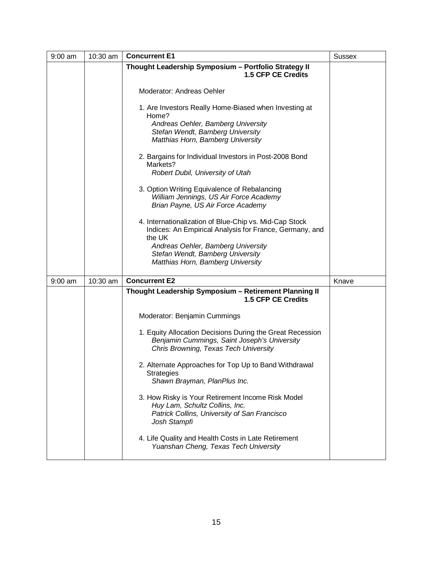| $9:00$ am | 10:30 am | <b>Concurrent E1</b>                                                                                                                                              | <b>Sussex</b> |
|-----------|----------|-------------------------------------------------------------------------------------------------------------------------------------------------------------------|---------------|
|           |          | Thought Leadership Symposium - Portfolio Strategy II<br>1.5 CFP CE Credits                                                                                        |               |
|           |          | Moderator: Andreas Oehler                                                                                                                                         |               |
|           |          | 1. Are Investors Really Home-Biased when Investing at<br>Home?                                                                                                    |               |
|           |          | Andreas Oehler, Bamberg University<br>Stefan Wendt, Bamberg University<br>Matthias Horn, Bamberg University                                                       |               |
|           |          | 2. Bargains for Individual Investors in Post-2008 Bond<br>Markets?<br>Robert Dubil, University of Utah                                                            |               |
|           |          | 3. Option Writing Equivalence of Rebalancing<br>William Jennings, US Air Force Academy<br>Brian Payne, US Air Force Academy                                       |               |
|           |          | 4. Internationalization of Blue-Chip vs. Mid-Cap Stock<br>Indices: An Empirical Analysis for France, Germany, and<br>the UK<br>Andreas Oehler, Bamberg University |               |
|           |          | Stefan Wendt, Bamberg University<br>Matthias Horn, Bamberg University                                                                                             |               |
| $9:00$ am | 10:30 am | <b>Concurrent E2</b>                                                                                                                                              | Knave         |
|           |          | Thought Leadership Symposium - Retirement Planning II<br><b>1.5 CFP CE Credits</b>                                                                                |               |
|           |          | Moderator: Benjamin Cummings                                                                                                                                      |               |
|           |          | 1. Equity Allocation Decisions During the Great Recession<br>Benjamin Cummings, Saint Joseph's University<br>Chris Browning, Texas Tech University                |               |
|           |          | 2. Alternate Approaches for Top Up to Band Withdrawal<br><b>Strategies</b><br>Shawn Brayman, PlanPlus Inc.                                                        |               |
|           |          | 3. How Risky is Your Retirement Income Risk Model<br>Huy Lam, Schultz Collins, Inc.<br>Patrick Collins, University of San Francisco<br>Josh Stampfi               |               |
|           |          | 4. Life Quality and Health Costs in Late Retirement<br>Yuanshan Cheng, Texas Tech University                                                                      |               |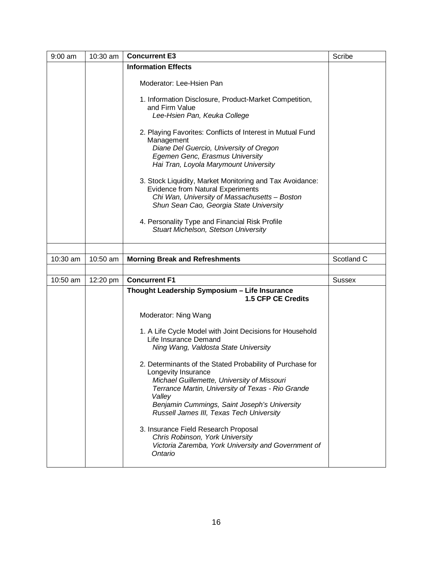| $9:00$ am | 10:30 am | <b>Concurrent E3</b>                                                                                                                                                                                                                                                                       | Scribe        |
|-----------|----------|--------------------------------------------------------------------------------------------------------------------------------------------------------------------------------------------------------------------------------------------------------------------------------------------|---------------|
|           |          | <b>Information Effects</b>                                                                                                                                                                                                                                                                 |               |
|           |          | Moderator: Lee-Hsien Pan                                                                                                                                                                                                                                                                   |               |
|           |          | 1. Information Disclosure, Product-Market Competition,<br>and Firm Value                                                                                                                                                                                                                   |               |
|           |          | Lee-Hsien Pan, Keuka College                                                                                                                                                                                                                                                               |               |
|           |          | 2. Playing Favorites: Conflicts of Interest in Mutual Fund<br>Management<br>Diane Del Guercio, University of Oregon                                                                                                                                                                        |               |
|           |          | Egemen Genc, Erasmus University<br>Hai Tran, Loyola Marymount University                                                                                                                                                                                                                   |               |
|           |          | 3. Stock Liquidity, Market Monitoring and Tax Avoidance:<br><b>Evidence from Natural Experiments</b><br>Chi Wan, University of Massachusetts - Boston<br>Shun Sean Cao, Georgia State University                                                                                           |               |
|           |          |                                                                                                                                                                                                                                                                                            |               |
|           |          | 4. Personality Type and Financial Risk Profile<br>Stuart Michelson, Stetson University                                                                                                                                                                                                     |               |
|           |          |                                                                                                                                                                                                                                                                                            |               |
| 10:30 am  | 10:50 am | <b>Morning Break and Refreshments</b>                                                                                                                                                                                                                                                      | Scotland C    |
|           |          |                                                                                                                                                                                                                                                                                            |               |
| 10:50 am  | 12:20 pm | <b>Concurrent F1</b>                                                                                                                                                                                                                                                                       | <b>Sussex</b> |
|           |          | Thought Leadership Symposium - Life Insurance<br><b>1.5 CFP CE Credits</b>                                                                                                                                                                                                                 |               |
|           |          | Moderator: Ning Wang                                                                                                                                                                                                                                                                       |               |
|           |          | 1. A Life Cycle Model with Joint Decisions for Household<br>Life Insurance Demand<br>Ning Wang, Valdosta State University                                                                                                                                                                  |               |
|           |          | 2. Determinants of the Stated Probability of Purchase for<br>Longevity Insurance<br>Michael Guillemette, University of Missouri<br>Terrance Martin, University of Texas - Rio Grande<br>Valley<br>Benjamin Cummings, Saint Joseph's University<br>Russell James III, Texas Tech University |               |
|           |          | 3. Insurance Field Research Proposal<br>Chris Robinson, York University<br>Victoria Zaremba, York University and Government of<br>Ontario                                                                                                                                                  |               |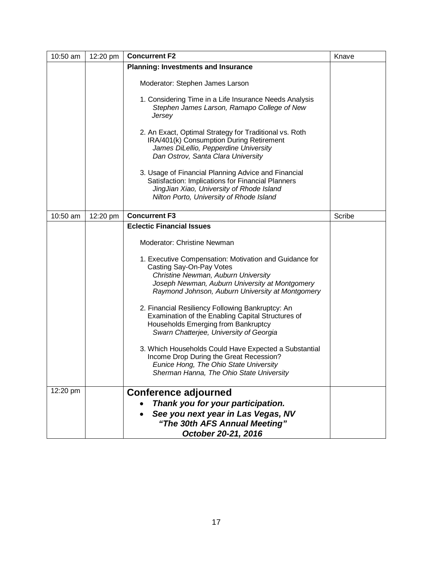| 10:50 am | 12:20 pm | <b>Concurrent F2</b>                                                                                                                                                                                                            | Knave  |
|----------|----------|---------------------------------------------------------------------------------------------------------------------------------------------------------------------------------------------------------------------------------|--------|
|          |          | <b>Planning: Investments and Insurance</b>                                                                                                                                                                                      |        |
|          |          | Moderator: Stephen James Larson                                                                                                                                                                                                 |        |
|          |          | 1. Considering Time in a Life Insurance Needs Analysis<br>Stephen James Larson, Ramapo College of New<br>Jersey                                                                                                                 |        |
|          |          | 2. An Exact, Optimal Strategy for Traditional vs. Roth<br>IRA/401(k) Consumption During Retirement<br>James DiLellio, Pepperdine University<br>Dan Ostrov, Santa Clara University                                               |        |
|          |          | 3. Usage of Financial Planning Advice and Financial<br>Satisfaction: Implications for Financial Planners<br>JingJian Xiao, University of Rhode Island<br>Nilton Porto, University of Rhode Island                               |        |
| 10:50 am | 12:20 pm | <b>Concurrent F3</b>                                                                                                                                                                                                            | Scribe |
|          |          | <b>Eclectic Financial Issues</b>                                                                                                                                                                                                |        |
|          |          | Moderator: Christine Newman                                                                                                                                                                                                     |        |
|          |          | 1. Executive Compensation: Motivation and Guidance for<br>Casting Say-On-Pay Votes<br>Christine Newman, Auburn University<br>Joseph Newman, Auburn University at Montgomery<br>Raymond Johnson, Auburn University at Montgomery |        |
|          |          | 2. Financial Resiliency Following Bankruptcy: An<br>Examination of the Enabling Capital Structures of<br>Households Emerging from Bankruptcy<br>Swarn Chatterjee, University of Georgia                                         |        |
|          |          | 3. Which Households Could Have Expected a Substantial<br>Income Drop During the Great Recession?<br>Eunice Hong, The Ohio State University<br>Sherman Hanna, The Ohio State University                                          |        |
| 12:20 pm |          | <b>Conference adjourned</b>                                                                                                                                                                                                     |        |
|          |          | Thank you for your participation.                                                                                                                                                                                               |        |
|          |          | See you next year in Las Vegas, NV                                                                                                                                                                                              |        |
|          |          | "The 30th AFS Annual Meeting"                                                                                                                                                                                                   |        |
|          |          | October 20-21, 2016                                                                                                                                                                                                             |        |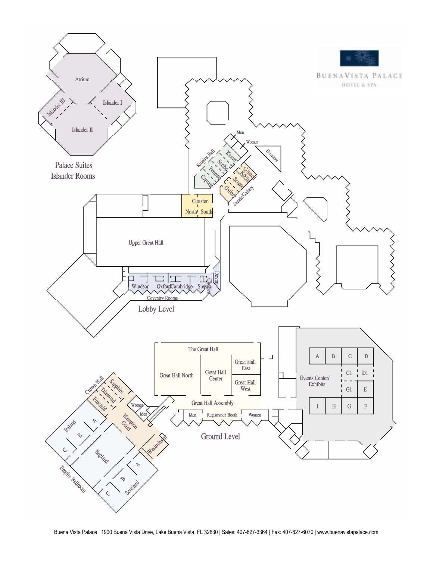